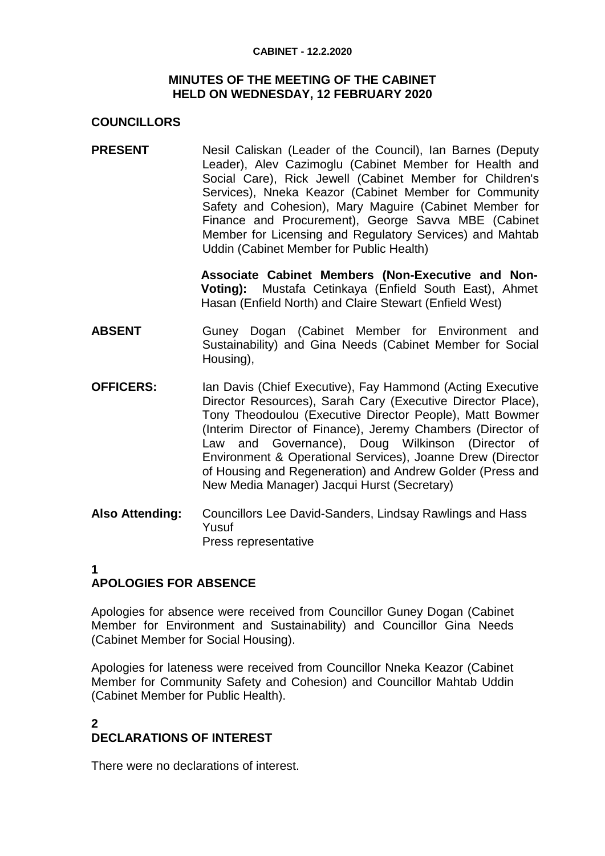#### **CABINET - 12.2.2020**

#### **MINUTES OF THE MEETING OF THE CABINET HELD ON WEDNESDAY, 12 FEBRUARY 2020**

### **COUNCILLORS**

**PRESENT** Nesil Caliskan (Leader of the Council), Ian Barnes (Deputy Leader), Alev Cazimoglu (Cabinet Member for Health and Social Care), Rick Jewell (Cabinet Member for Children's Services), Nneka Keazor (Cabinet Member for Community Safety and Cohesion), Mary Maguire (Cabinet Member for Finance and Procurement), George Savva MBE (Cabinet Member for Licensing and Regulatory Services) and Mahtab Uddin (Cabinet Member for Public Health)

> **Associate Cabinet Members (Non-Executive and Non-Voting):** Mustafa Cetinkaya (Enfield South East), Ahmet Hasan (Enfield North) and Claire Stewart (Enfield West)

- **ABSENT** Guney Dogan (Cabinet Member for Environment and Sustainability) and Gina Needs (Cabinet Member for Social Housing),
- **OFFICERS:** Ian Davis (Chief Executive), Fay Hammond (Acting Executive Director Resources), Sarah Cary (Executive Director Place), Tony Theodoulou (Executive Director People), Matt Bowmer (Interim Director of Finance), Jeremy Chambers (Director of Law and Governance), Doug Wilkinson (Director of Environment & Operational Services), Joanne Drew (Director of Housing and Regeneration) and Andrew Golder (Press and New Media Manager) Jacqui Hurst (Secretary)
- **Also Attending:** Councillors Lee David-Sanders, Lindsay Rawlings and Hass Yusuf Press representative

#### **1 APOLOGIES FOR ABSENCE**

Apologies for absence were received from Councillor Guney Dogan (Cabinet Member for Environment and Sustainability) and Councillor Gina Needs (Cabinet Member for Social Housing).

Apologies for lateness were received from Councillor Nneka Keazor (Cabinet Member for Community Safety and Cohesion) and Councillor Mahtab Uddin (Cabinet Member for Public Health).

#### **2 DECLARATIONS OF INTEREST**

There were no declarations of interest.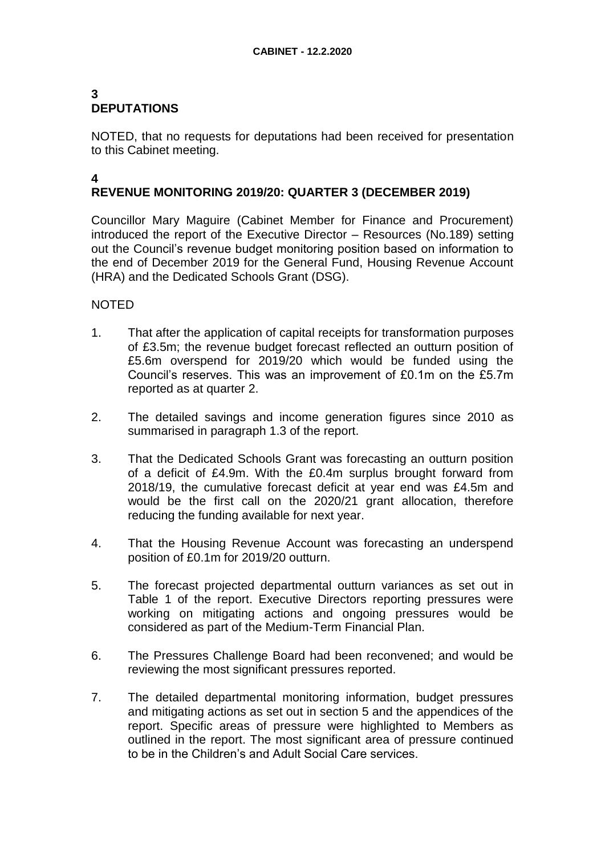### **3 DEPUTATIONS**

NOTED, that no requests for deputations had been received for presentation to this Cabinet meeting.

# **REVENUE MONITORING 2019/20: QUARTER 3 (DECEMBER 2019)**

Councillor Mary Maguire (Cabinet Member for Finance and Procurement) introduced the report of the Executive Director – Resources (No.189) setting out the Council's revenue budget monitoring position based on information to the end of December 2019 for the General Fund, Housing Revenue Account (HRA) and the Dedicated Schools Grant (DSG).

### NOTED

**4**

- 1. That after the application of capital receipts for transformation purposes of £3.5m; the revenue budget forecast reflected an outturn position of £5.6m overspend for 2019/20 which would be funded using the Council's reserves. This was an improvement of £0.1m on the £5.7m reported as at quarter 2.
- 2. The detailed savings and income generation figures since 2010 as summarised in paragraph 1.3 of the report.
- 3. That the Dedicated Schools Grant was forecasting an outturn position of a deficit of £4.9m. With the £0.4m surplus brought forward from 2018/19, the cumulative forecast deficit at year end was £4.5m and would be the first call on the 2020/21 grant allocation, therefore reducing the funding available for next year.
- 4. That the Housing Revenue Account was forecasting an underspend position of £0.1m for 2019/20 outturn.
- 5. The forecast projected departmental outturn variances as set out in Table 1 of the report. Executive Directors reporting pressures were working on mitigating actions and ongoing pressures would be considered as part of the Medium-Term Financial Plan.
- 6. The Pressures Challenge Board had been reconvened; and would be reviewing the most significant pressures reported.
- 7. The detailed departmental monitoring information, budget pressures and mitigating actions as set out in section 5 and the appendices of the report. Specific areas of pressure were highlighted to Members as outlined in the report. The most significant area of pressure continued to be in the Children's and Adult Social Care services.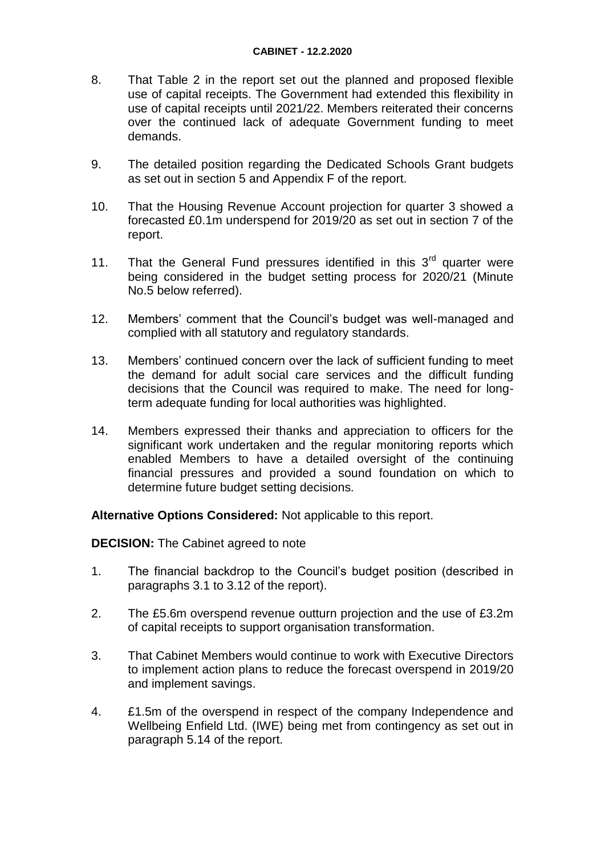- 8. That Table 2 in the report set out the planned and proposed flexible use of capital receipts. The Government had extended this flexibility in use of capital receipts until 2021/22. Members reiterated their concerns over the continued lack of adequate Government funding to meet demands.
- 9. The detailed position regarding the Dedicated Schools Grant budgets as set out in section 5 and Appendix F of the report.
- 10. That the Housing Revenue Account projection for quarter 3 showed a forecasted £0.1m underspend for 2019/20 as set out in section 7 of the report.
- 11. That the General Fund pressures identified in this  $3<sup>rd</sup>$  quarter were being considered in the budget setting process for 2020/21 (Minute No.5 below referred).
- 12. Members' comment that the Council's budget was well-managed and complied with all statutory and regulatory standards.
- 13. Members' continued concern over the lack of sufficient funding to meet the demand for adult social care services and the difficult funding decisions that the Council was required to make. The need for longterm adequate funding for local authorities was highlighted.
- 14. Members expressed their thanks and appreciation to officers for the significant work undertaken and the regular monitoring reports which enabled Members to have a detailed oversight of the continuing financial pressures and provided a sound foundation on which to determine future budget setting decisions.

**Alternative Options Considered:** Not applicable to this report.

**DECISION:** The Cabinet agreed to note

- 1. The financial backdrop to the Council's budget position (described in paragraphs 3.1 to 3.12 of the report).
- 2. The £5.6m overspend revenue outturn projection and the use of £3.2m of capital receipts to support organisation transformation.
- 3. That Cabinet Members would continue to work with Executive Directors to implement action plans to reduce the forecast overspend in 2019/20 and implement savings.
- 4. £1.5m of the overspend in respect of the company Independence and Wellbeing Enfield Ltd. (IWE) being met from contingency as set out in paragraph 5.14 of the report.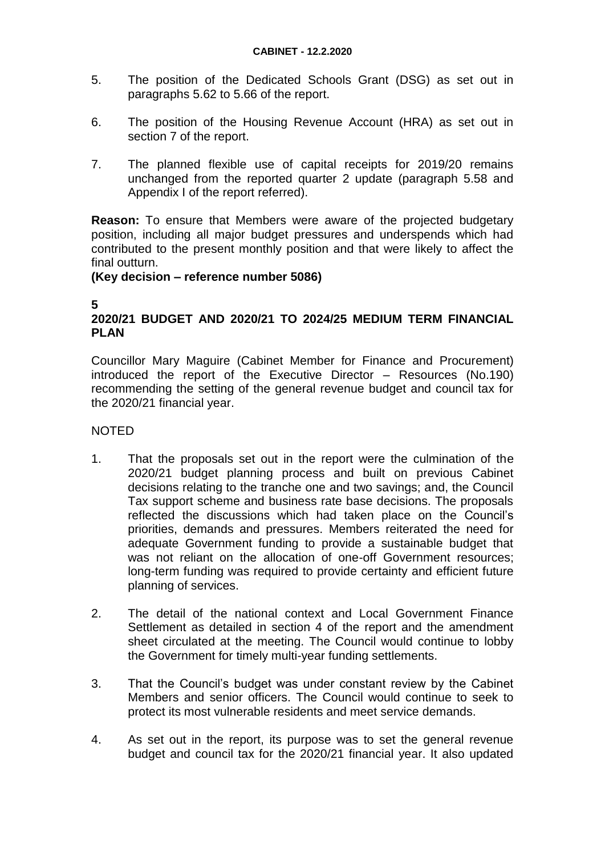- 5. The position of the Dedicated Schools Grant (DSG) as set out in paragraphs 5.62 to 5.66 of the report.
- 6. The position of the Housing Revenue Account (HRA) as set out in section 7 of the report.
- 7. The planned flexible use of capital receipts for 2019/20 remains unchanged from the reported quarter 2 update (paragraph 5.58 and Appendix I of the report referred).

**Reason:** To ensure that Members were aware of the projected budgetary position, including all major budget pressures and underspends which had contributed to the present monthly position and that were likely to affect the final outturn.

#### **(Key decision – reference number 5086)**

### **5**

# **2020/21 BUDGET AND 2020/21 TO 2024/25 MEDIUM TERM FINANCIAL PLAN**

Councillor Mary Maguire (Cabinet Member for Finance and Procurement) introduced the report of the Executive Director – Resources (No.190) recommending the setting of the general revenue budget and council tax for the 2020/21 financial year.

- 1. That the proposals set out in the report were the culmination of the 2020/21 budget planning process and built on previous Cabinet decisions relating to the tranche one and two savings; and, the Council Tax support scheme and business rate base decisions. The proposals reflected the discussions which had taken place on the Council's priorities, demands and pressures. Members reiterated the need for adequate Government funding to provide a sustainable budget that was not reliant on the allocation of one-off Government resources; long-term funding was required to provide certainty and efficient future planning of services.
- 2. The detail of the national context and Local Government Finance Settlement as detailed in section 4 of the report and the amendment sheet circulated at the meeting. The Council would continue to lobby the Government for timely multi-year funding settlements.
- 3. That the Council's budget was under constant review by the Cabinet Members and senior officers. The Council would continue to seek to protect its most vulnerable residents and meet service demands.
- 4. As set out in the report, its purpose was to set the general revenue budget and council tax for the 2020/21 financial year. It also updated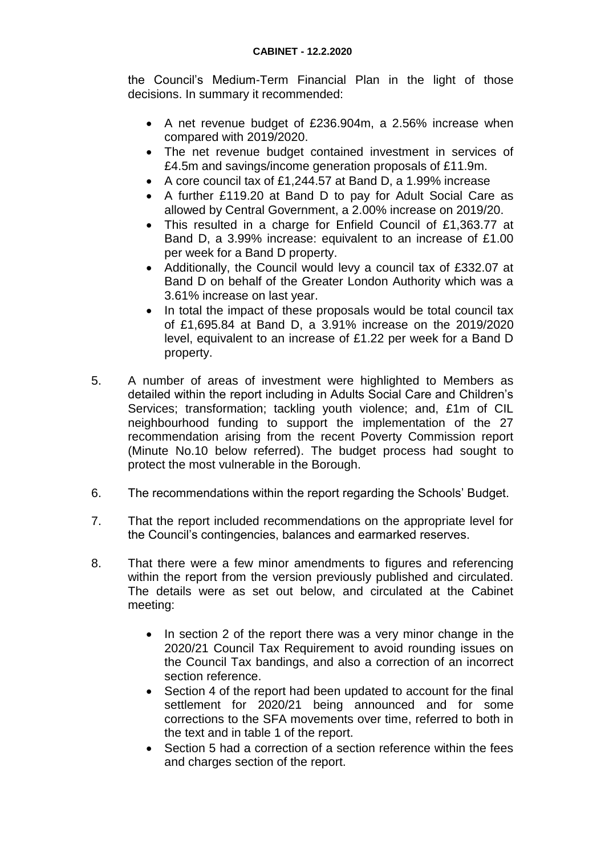the Council's Medium-Term Financial Plan in the light of those decisions. In summary it recommended:

- A net revenue budget of £236.904m, a 2.56% increase when compared with 2019/2020.
- The net revenue budget contained investment in services of £4.5m and savings/income generation proposals of £11.9m.
- A core council tax of £1,244.57 at Band D, a 1.99% increase
- A further £119.20 at Band D to pay for Adult Social Care as allowed by Central Government, a 2.00% increase on 2019/20.
- This resulted in a charge for Enfield Council of £1,363.77 at Band D, a 3.99% increase: equivalent to an increase of £1.00 per week for a Band D property.
- Additionally, the Council would levy a council tax of £332.07 at Band D on behalf of the Greater London Authority which was a 3.61% increase on last year.
- In total the impact of these proposals would be total council tax of £1,695.84 at Band D, a 3.91% increase on the 2019/2020 level, equivalent to an increase of £1.22 per week for a Band D property.
- 5. A number of areas of investment were highlighted to Members as detailed within the report including in Adults Social Care and Children's Services; transformation; tackling youth violence; and, £1m of CIL neighbourhood funding to support the implementation of the 27 recommendation arising from the recent Poverty Commission report (Minute No.10 below referred). The budget process had sought to protect the most vulnerable in the Borough.
- 6. The recommendations within the report regarding the Schools' Budget.
- 7. That the report included recommendations on the appropriate level for the Council's contingencies, balances and earmarked reserves.
- 8. That there were a few minor amendments to figures and referencing within the report from the version previously published and circulated. The details were as set out below, and circulated at the Cabinet meeting:
	- In section 2 of the report there was a very minor change in the 2020/21 Council Tax Requirement to avoid rounding issues on the Council Tax bandings, and also a correction of an incorrect section reference.
	- Section 4 of the report had been updated to account for the final settlement for 2020/21 being announced and for some corrections to the SFA movements over time, referred to both in the text and in table 1 of the report.
	- Section 5 had a correction of a section reference within the fees and charges section of the report.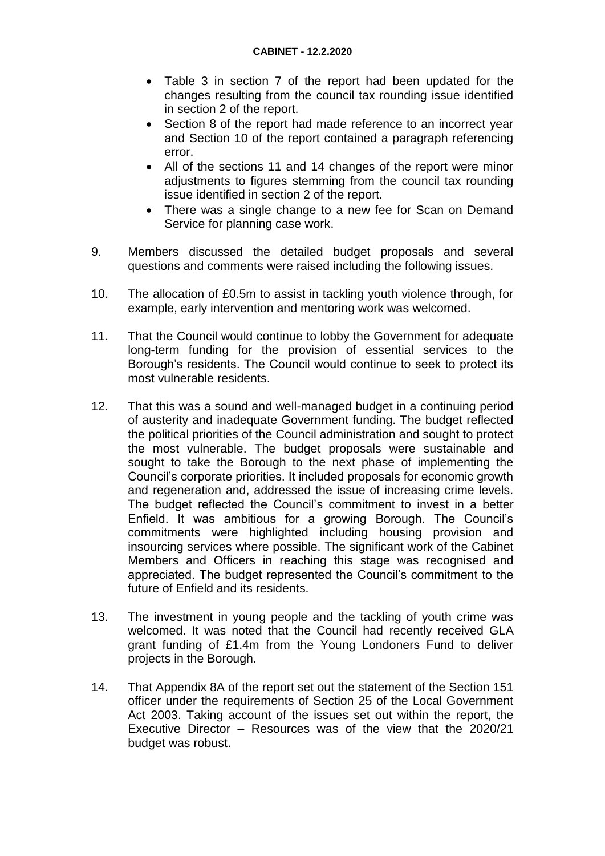- Table 3 in section 7 of the report had been updated for the changes resulting from the council tax rounding issue identified in section 2 of the report.
- Section 8 of the report had made reference to an incorrect year and Section 10 of the report contained a paragraph referencing error.
- All of the sections 11 and 14 changes of the report were minor adjustments to figures stemming from the council tax rounding issue identified in section 2 of the report.
- There was a single change to a new fee for Scan on Demand Service for planning case work.
- 9. Members discussed the detailed budget proposals and several questions and comments were raised including the following issues.
- 10. The allocation of £0.5m to assist in tackling youth violence through, for example, early intervention and mentoring work was welcomed.
- 11. That the Council would continue to lobby the Government for adequate long-term funding for the provision of essential services to the Borough's residents. The Council would continue to seek to protect its most vulnerable residents.
- 12. That this was a sound and well-managed budget in a continuing period of austerity and inadequate Government funding. The budget reflected the political priorities of the Council administration and sought to protect the most vulnerable. The budget proposals were sustainable and sought to take the Borough to the next phase of implementing the Council's corporate priorities. It included proposals for economic growth and regeneration and, addressed the issue of increasing crime levels. The budget reflected the Council's commitment to invest in a better Enfield. It was ambitious for a growing Borough. The Council's commitments were highlighted including housing provision and insourcing services where possible. The significant work of the Cabinet Members and Officers in reaching this stage was recognised and appreciated. The budget represented the Council's commitment to the future of Enfield and its residents.
- 13. The investment in young people and the tackling of youth crime was welcomed. It was noted that the Council had recently received GLA grant funding of £1.4m from the Young Londoners Fund to deliver projects in the Borough.
- 14. That Appendix 8A of the report set out the statement of the Section 151 officer under the requirements of Section 25 of the Local Government Act 2003. Taking account of the issues set out within the report, the Executive Director – Resources was of the view that the 2020/21 budget was robust.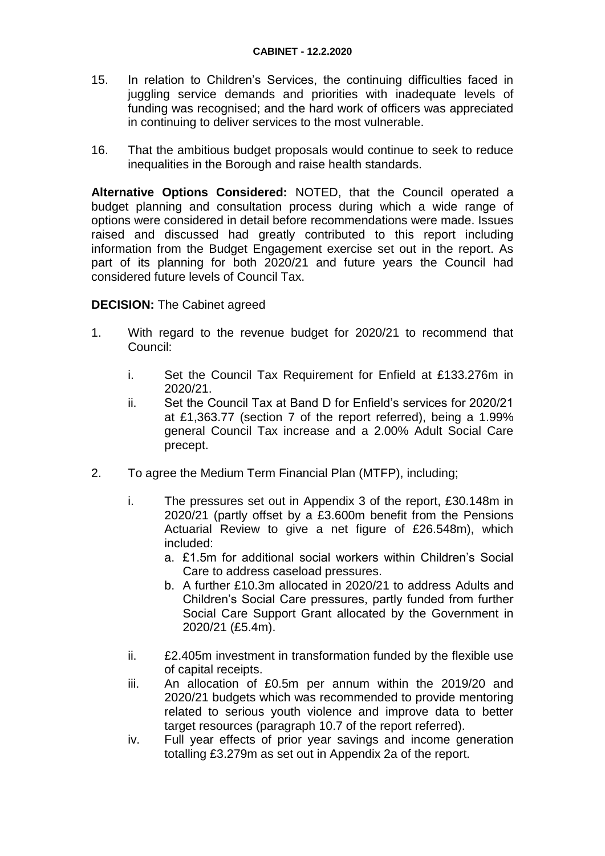- 15. In relation to Children's Services, the continuing difficulties faced in juggling service demands and priorities with inadequate levels of funding was recognised; and the hard work of officers was appreciated in continuing to deliver services to the most vulnerable.
- 16. That the ambitious budget proposals would continue to seek to reduce inequalities in the Borough and raise health standards.

**Alternative Options Considered:** NOTED, that the Council operated a budget planning and consultation process during which a wide range of options were considered in detail before recommendations were made. Issues raised and discussed had greatly contributed to this report including information from the Budget Engagement exercise set out in the report. As part of its planning for both 2020/21 and future years the Council had considered future levels of Council Tax.

### **DECISION:** The Cabinet agreed

- 1. With regard to the revenue budget for 2020/21 to recommend that Council:
	- i. Set the Council Tax Requirement for Enfield at £133.276m in 2020/21.
	- ii. Set the Council Tax at Band D for Enfield's services for 2020/21 at £1,363.77 (section 7 of the report referred), being a 1.99% general Council Tax increase and a 2.00% Adult Social Care precept.
- 2. To agree the Medium Term Financial Plan (MTFP), including;
	- i. The pressures set out in Appendix 3 of the report, £30.148m in 2020/21 (partly offset by a £3.600m benefit from the Pensions Actuarial Review to give a net figure of £26.548m), which included:
		- a. £1.5m for additional social workers within Children's Social Care to address caseload pressures.
		- b. A further £10.3m allocated in 2020/21 to address Adults and Children's Social Care pressures, partly funded from further Social Care Support Grant allocated by the Government in 2020/21 (£5.4m).
	- ii. £2.405m investment in transformation funded by the flexible use of capital receipts.
	- iii. An allocation of £0.5m per annum within the 2019/20 and 2020/21 budgets which was recommended to provide mentoring related to serious youth violence and improve data to better target resources (paragraph 10.7 of the report referred).
	- iv. Full year effects of prior year savings and income generation totalling £3.279m as set out in Appendix 2a of the report.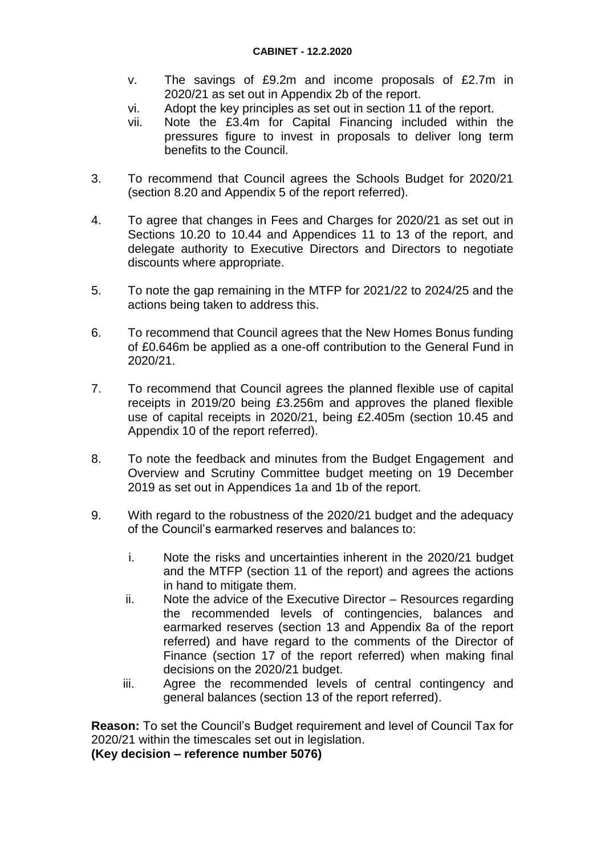- v. The savings of £9.2m and income proposals of £2.7m in 2020/21 as set out in Appendix 2b of the report.
- vi. Adopt the key principles as set out in section 11 of the report.
- vii. Note the £3.4m for Capital Financing included within the pressures figure to invest in proposals to deliver long term benefits to the Council.
- 3. To recommend that Council agrees the Schools Budget for 2020/21 (section 8.20 and Appendix 5 of the report referred).
- 4. To agree that changes in Fees and Charges for 2020/21 as set out in Sections 10.20 to 10.44 and Appendices 11 to 13 of the report, and delegate authority to Executive Directors and Directors to negotiate discounts where appropriate.
- 5. To note the gap remaining in the MTFP for 2021/22 to 2024/25 and the actions being taken to address this.
- 6. To recommend that Council agrees that the New Homes Bonus funding of £0.646m be applied as a one-off contribution to the General Fund in 2020/21.
- 7. To recommend that Council agrees the planned flexible use of capital receipts in 2019/20 being £3.256m and approves the planed flexible use of capital receipts in 2020/21, being £2.405m (section 10.45 and Appendix 10 of the report referred).
- 8. To note the feedback and minutes from the Budget Engagement and Overview and Scrutiny Committee budget meeting on 19 December 2019 as set out in Appendices 1a and 1b of the report.
- 9. With regard to the robustness of the 2020/21 budget and the adequacy of the Council's earmarked reserves and balances to:
	- i. Note the risks and uncertainties inherent in the 2020/21 budget and the MTFP (section 11 of the report) and agrees the actions in hand to mitigate them.
	- ii. Note the advice of the Executive Director Resources regarding the recommended levels of contingencies, balances and earmarked reserves (section 13 and Appendix 8a of the report referred) and have regard to the comments of the Director of Finance (section 17 of the report referred) when making final decisions on the 2020/21 budget.
	- iii. Agree the recommended levels of central contingency and general balances (section 13 of the report referred).

**Reason:** To set the Council's Budget requirement and level of Council Tax for 2020/21 within the timescales set out in legislation.

**(Key decision – reference number 5076)**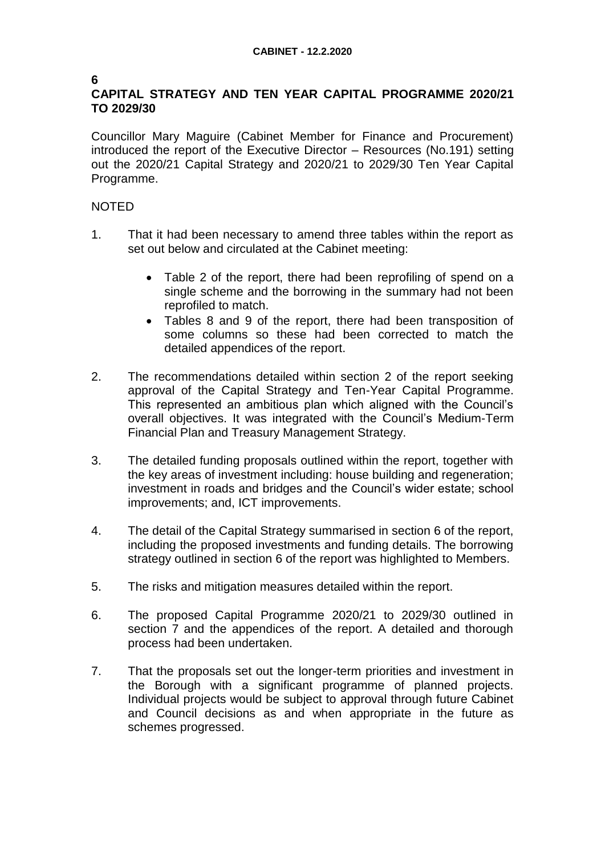#### **6 CAPITAL STRATEGY AND TEN YEAR CAPITAL PROGRAMME 2020/21 TO 2029/30**

Councillor Mary Maguire (Cabinet Member for Finance and Procurement) introduced the report of the Executive Director – Resources (No.191) setting out the 2020/21 Capital Strategy and 2020/21 to 2029/30 Ten Year Capital Programme.

- 1. That it had been necessary to amend three tables within the report as set out below and circulated at the Cabinet meeting:
	- Table 2 of the report, there had been reprofiling of spend on a single scheme and the borrowing in the summary had not been reprofiled to match.
	- Tables 8 and 9 of the report, there had been transposition of some columns so these had been corrected to match the detailed appendices of the report.
- 2. The recommendations detailed within section 2 of the report seeking approval of the Capital Strategy and Ten-Year Capital Programme. This represented an ambitious plan which aligned with the Council's overall objectives. It was integrated with the Council's Medium-Term Financial Plan and Treasury Management Strategy.
- 3. The detailed funding proposals outlined within the report, together with the key areas of investment including: house building and regeneration; investment in roads and bridges and the Council's wider estate; school improvements; and, ICT improvements.
- 4. The detail of the Capital Strategy summarised in section 6 of the report, including the proposed investments and funding details. The borrowing strategy outlined in section 6 of the report was highlighted to Members.
- 5. The risks and mitigation measures detailed within the report.
- 6. The proposed Capital Programme 2020/21 to 2029/30 outlined in section 7 and the appendices of the report. A detailed and thorough process had been undertaken.
- 7. That the proposals set out the longer-term priorities and investment in the Borough with a significant programme of planned projects. Individual projects would be subject to approval through future Cabinet and Council decisions as and when appropriate in the future as schemes progressed.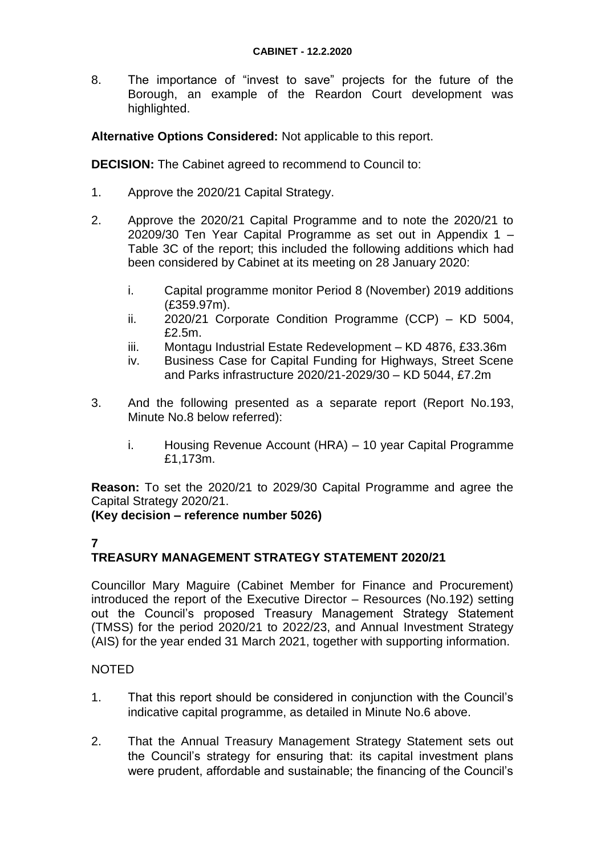8. The importance of "invest to save" projects for the future of the Borough, an example of the Reardon Court development was highlighted.

**Alternative Options Considered:** Not applicable to this report.

**DECISION:** The Cabinet agreed to recommend to Council to:

- 1. Approve the 2020/21 Capital Strategy.
- 2. Approve the 2020/21 Capital Programme and to note the 2020/21 to 20209/30 Ten Year Capital Programme as set out in Appendix 1 – Table 3C of the report; this included the following additions which had been considered by Cabinet at its meeting on 28 January 2020:
	- i. Capital programme monitor Period 8 (November) 2019 additions (£359.97m).
	- ii. 2020/21 Corporate Condition Programme (CCP) KD 5004, £2.5m.
	- iii. Montagu Industrial Estate Redevelopment KD 4876, £33.36m
	- iv. Business Case for Capital Funding for Highways, Street Scene and Parks infrastructure 2020/21-2029/30 – KD 5044, £7.2m
- 3. And the following presented as a separate report (Report No.193, Minute No.8 below referred):
	- i. Housing Revenue Account (HRA) 10 year Capital Programme £1,173m.

**Reason:** To set the 2020/21 to 2029/30 Capital Programme and agree the Capital Strategy 2020/21.

**(Key decision – reference number 5026)**

### **7**

# **TREASURY MANAGEMENT STRATEGY STATEMENT 2020/21**

Councillor Mary Maguire (Cabinet Member for Finance and Procurement) introduced the report of the Executive Director – Resources (No.192) setting out the Council's proposed Treasury Management Strategy Statement (TMSS) for the period 2020/21 to 2022/23, and Annual Investment Strategy (AIS) for the year ended 31 March 2021, together with supporting information.

- 1. That this report should be considered in conjunction with the Council's indicative capital programme, as detailed in Minute No.6 above.
- 2. That the Annual Treasury Management Strategy Statement sets out the Council's strategy for ensuring that: its capital investment plans were prudent, affordable and sustainable; the financing of the Council's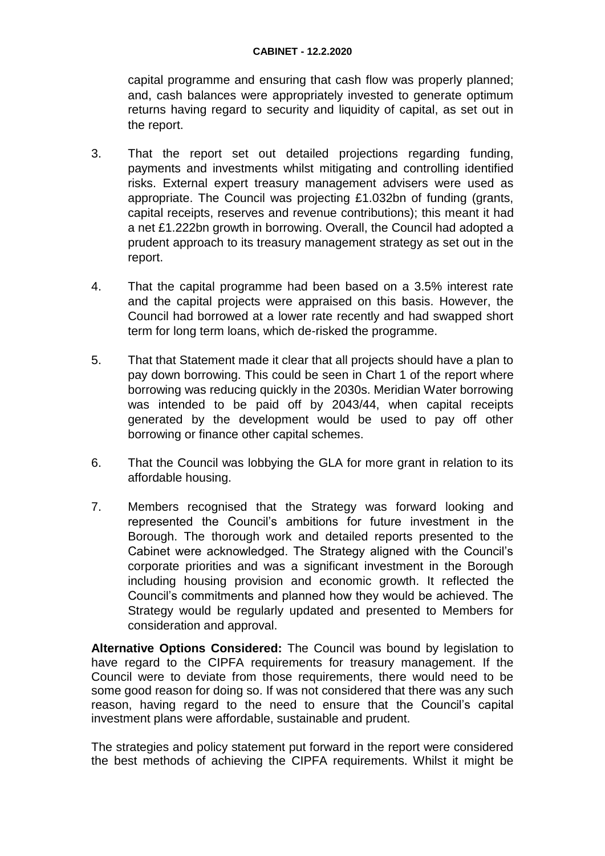#### **CABINET - 12.2.2020**

capital programme and ensuring that cash flow was properly planned; and, cash balances were appropriately invested to generate optimum returns having regard to security and liquidity of capital, as set out in the report.

- 3. That the report set out detailed projections regarding funding, payments and investments whilst mitigating and controlling identified risks. External expert treasury management advisers were used as appropriate. The Council was projecting £1.032bn of funding (grants, capital receipts, reserves and revenue contributions); this meant it had a net £1.222bn growth in borrowing. Overall, the Council had adopted a prudent approach to its treasury management strategy as set out in the report.
- 4. That the capital programme had been based on a 3.5% interest rate and the capital projects were appraised on this basis. However, the Council had borrowed at a lower rate recently and had swapped short term for long term loans, which de-risked the programme.
- 5. That that Statement made it clear that all projects should have a plan to pay down borrowing. This could be seen in Chart 1 of the report where borrowing was reducing quickly in the 2030s. Meridian Water borrowing was intended to be paid off by 2043/44, when capital receipts generated by the development would be used to pay off other borrowing or finance other capital schemes.
- 6. That the Council was lobbying the GLA for more grant in relation to its affordable housing.
- 7. Members recognised that the Strategy was forward looking and represented the Council's ambitions for future investment in the Borough. The thorough work and detailed reports presented to the Cabinet were acknowledged. The Strategy aligned with the Council's corporate priorities and was a significant investment in the Borough including housing provision and economic growth. It reflected the Council's commitments and planned how they would be achieved. The Strategy would be regularly updated and presented to Members for consideration and approval.

**Alternative Options Considered:** The Council was bound by legislation to have regard to the CIPFA requirements for treasury management. If the Council were to deviate from those requirements, there would need to be some good reason for doing so. If was not considered that there was any such reason, having regard to the need to ensure that the Council's capital investment plans were affordable, sustainable and prudent.

The strategies and policy statement put forward in the report were considered the best methods of achieving the CIPFA requirements. Whilst it might be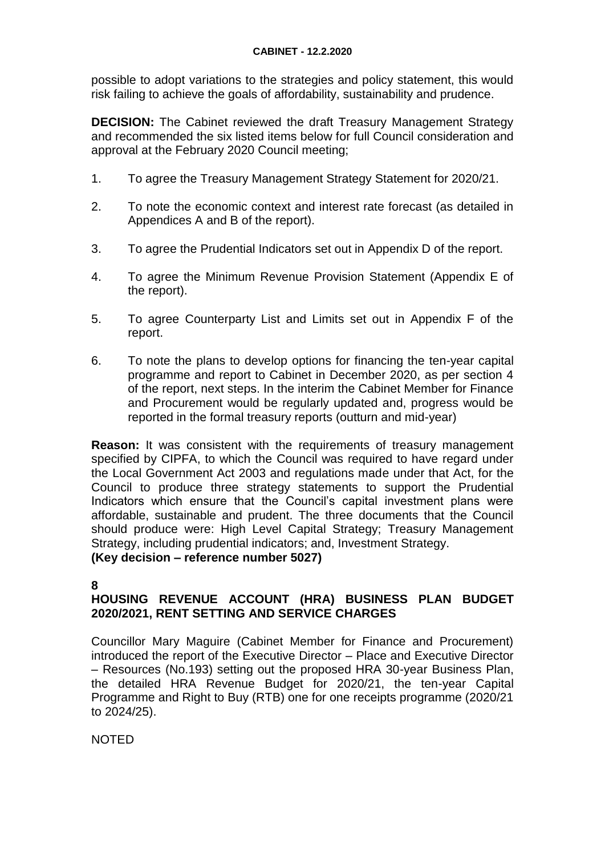possible to adopt variations to the strategies and policy statement, this would risk failing to achieve the goals of affordability, sustainability and prudence.

**DECISION:** The Cabinet reviewed the draft Treasury Management Strategy and recommended the six listed items below for full Council consideration and approval at the February 2020 Council meeting;

- 1. To agree the Treasury Management Strategy Statement for 2020/21.
- 2. To note the economic context and interest rate forecast (as detailed in Appendices A and B of the report).
- 3. To agree the Prudential Indicators set out in Appendix D of the report.
- 4. To agree the Minimum Revenue Provision Statement (Appendix E of the report).
- 5. To agree Counterparty List and Limits set out in Appendix F of the report.
- 6. To note the plans to develop options for financing the ten-year capital programme and report to Cabinet in December 2020, as per section 4 of the report, next steps. In the interim the Cabinet Member for Finance and Procurement would be regularly updated and, progress would be reported in the formal treasury reports (outturn and mid-year)

**Reason:** It was consistent with the requirements of treasury management specified by CIPFA, to which the Council was required to have regard under the Local Government Act 2003 and regulations made under that Act, for the Council to produce three strategy statements to support the Prudential Indicators which ensure that the Council's capital investment plans were affordable, sustainable and prudent. The three documents that the Council should produce were: High Level Capital Strategy; Treasury Management Strategy, including prudential indicators; and, Investment Strategy.

**(Key decision – reference number 5027)**

**8**

# **HOUSING REVENUE ACCOUNT (HRA) BUSINESS PLAN BUDGET 2020/2021, RENT SETTING AND SERVICE CHARGES**

Councillor Mary Maguire (Cabinet Member for Finance and Procurement) introduced the report of the Executive Director – Place and Executive Director – Resources (No.193) setting out the proposed HRA 30-year Business Plan, the detailed HRA Revenue Budget for 2020/21, the ten-year Capital Programme and Right to Buy (RTB) one for one receipts programme (2020/21 to 2024/25).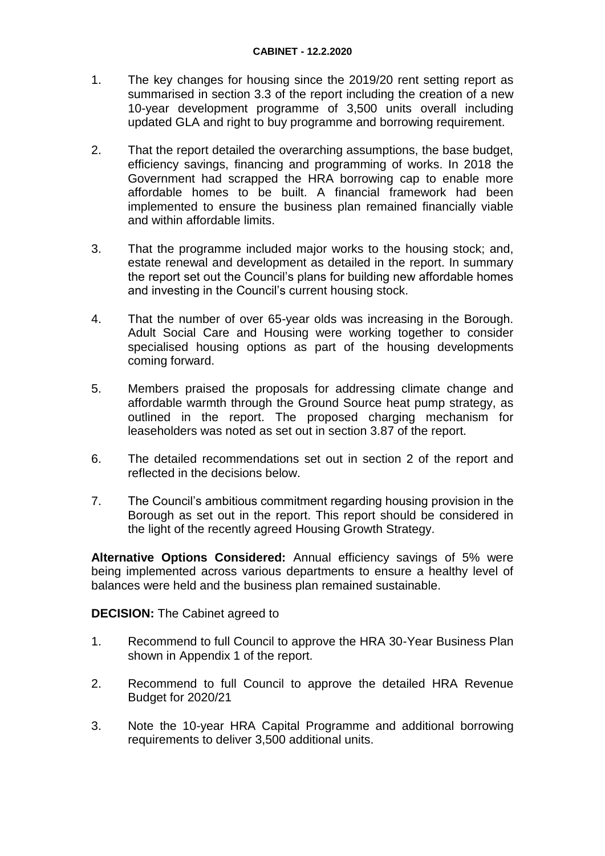- 1. The key changes for housing since the 2019/20 rent setting report as summarised in section 3.3 of the report including the creation of a new 10-year development programme of 3,500 units overall including updated GLA and right to buy programme and borrowing requirement.
- 2. That the report detailed the overarching assumptions, the base budget, efficiency savings, financing and programming of works. In 2018 the Government had scrapped the HRA borrowing cap to enable more affordable homes to be built. A financial framework had been implemented to ensure the business plan remained financially viable and within affordable limits.
- 3. That the programme included major works to the housing stock; and, estate renewal and development as detailed in the report. In summary the report set out the Council's plans for building new affordable homes and investing in the Council's current housing stock.
- 4. That the number of over 65-year olds was increasing in the Borough. Adult Social Care and Housing were working together to consider specialised housing options as part of the housing developments coming forward.
- 5. Members praised the proposals for addressing climate change and affordable warmth through the Ground Source heat pump strategy, as outlined in the report. The proposed charging mechanism for leaseholders was noted as set out in section 3.87 of the report.
- 6. The detailed recommendations set out in section 2 of the report and reflected in the decisions below.
- 7. The Council's ambitious commitment regarding housing provision in the Borough as set out in the report. This report should be considered in the light of the recently agreed Housing Growth Strategy.

**Alternative Options Considered:** Annual efficiency savings of 5% were being implemented across various departments to ensure a healthy level of balances were held and the business plan remained sustainable.

### **DECISION:** The Cabinet agreed to

- 1. Recommend to full Council to approve the HRA 30-Year Business Plan shown in Appendix 1 of the report.
- 2. Recommend to full Council to approve the detailed HRA Revenue Budget for 2020/21
- 3. Note the 10-year HRA Capital Programme and additional borrowing requirements to deliver 3,500 additional units.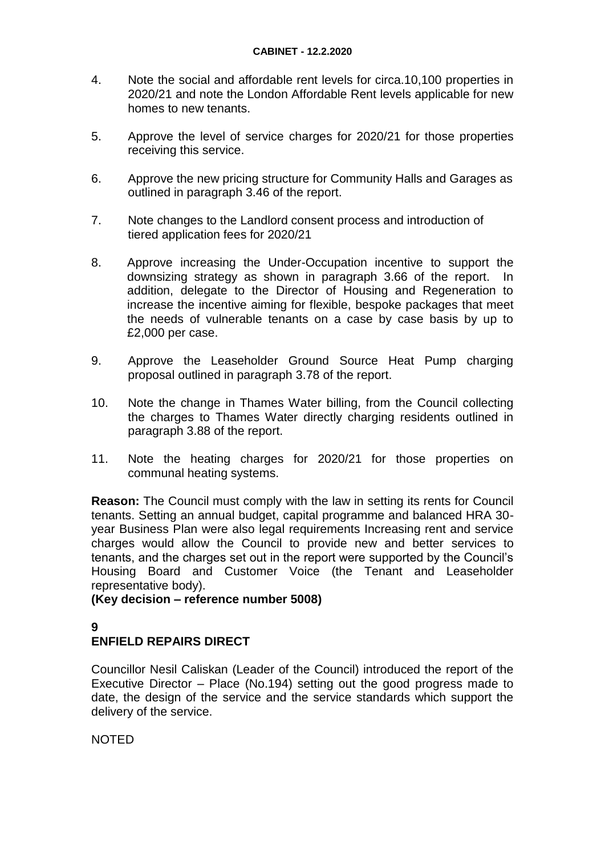#### **CABINET - 12.2.2020**

- 4. Note the social and affordable rent levels for circa.10,100 properties in 2020/21 and note the London Affordable Rent levels applicable for new homes to new tenants.
- 5. Approve the level of service charges for 2020/21 for those properties receiving this service.
- 6. Approve the new pricing structure for Community Halls and Garages as outlined in paragraph 3.46 of the report.
- 7. Note changes to the Landlord consent process and introduction of tiered application fees for 2020/21
- 8. Approve increasing the Under-Occupation incentive to support the downsizing strategy as shown in paragraph 3.66 of the report. In addition, delegate to the Director of Housing and Regeneration to increase the incentive aiming for flexible, bespoke packages that meet the needs of vulnerable tenants on a case by case basis by up to £2,000 per case.
- 9. Approve the Leaseholder Ground Source Heat Pump charging proposal outlined in paragraph 3.78 of the report.
- 10. Note the change in Thames Water billing, from the Council collecting the charges to Thames Water directly charging residents outlined in paragraph 3.88 of the report.
- 11. Note the heating charges for 2020/21 for those properties on communal heating systems.

**Reason:** The Council must comply with the law in setting its rents for Council tenants. Setting an annual budget, capital programme and balanced HRA 30 year Business Plan were also legal requirements Increasing rent and service charges would allow the Council to provide new and better services to tenants, and the charges set out in the report were supported by the Council's Housing Board and Customer Voice (the Tenant and Leaseholder representative body).

**(Key decision – reference number 5008)**

# **9**

# **ENFIELD REPAIRS DIRECT**

Councillor Nesil Caliskan (Leader of the Council) introduced the report of the Executive Director – Place (No.194) setting out the good progress made to date, the design of the service and the service standards which support the delivery of the service.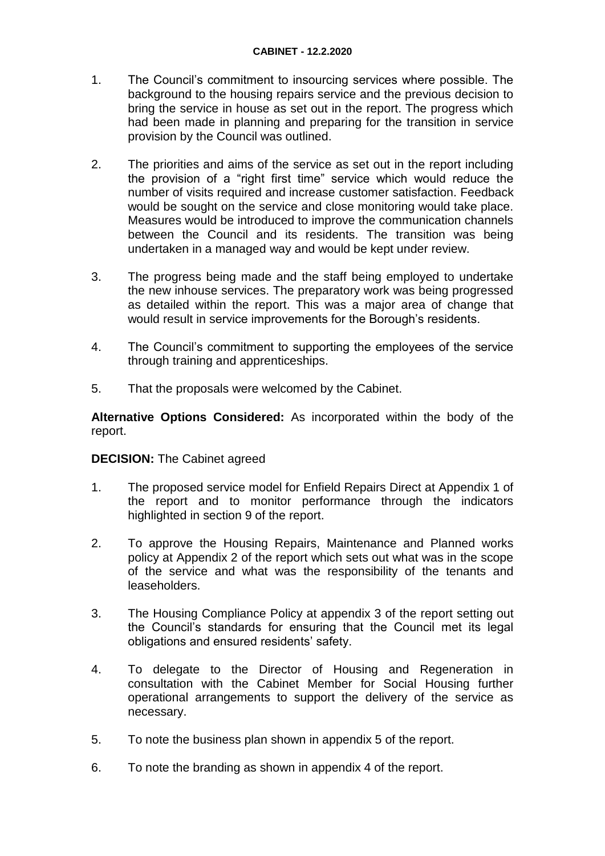- 1. The Council's commitment to insourcing services where possible. The background to the housing repairs service and the previous decision to bring the service in house as set out in the report. The progress which had been made in planning and preparing for the transition in service provision by the Council was outlined.
- 2. The priorities and aims of the service as set out in the report including the provision of a "right first time" service which would reduce the number of visits required and increase customer satisfaction. Feedback would be sought on the service and close monitoring would take place. Measures would be introduced to improve the communication channels between the Council and its residents. The transition was being undertaken in a managed way and would be kept under review.
- 3. The progress being made and the staff being employed to undertake the new inhouse services. The preparatory work was being progressed as detailed within the report. This was a major area of change that would result in service improvements for the Borough's residents.
- 4. The Council's commitment to supporting the employees of the service through training and apprenticeships.
- 5. That the proposals were welcomed by the Cabinet.

**Alternative Options Considered:** As incorporated within the body of the report.

### **DECISION:** The Cabinet agreed

- 1. The proposed service model for Enfield Repairs Direct at Appendix 1 of the report and to monitor performance through the indicators highlighted in section 9 of the report.
- 2. To approve the Housing Repairs, Maintenance and Planned works policy at Appendix 2 of the report which sets out what was in the scope of the service and what was the responsibility of the tenants and leaseholders.
- 3. The Housing Compliance Policy at appendix 3 of the report setting out the Council's standards for ensuring that the Council met its legal obligations and ensured residents' safety.
- 4. To delegate to the Director of Housing and Regeneration in consultation with the Cabinet Member for Social Housing further operational arrangements to support the delivery of the service as necessary.
- 5. To note the business plan shown in appendix 5 of the report.
- 6. To note the branding as shown in appendix 4 of the report.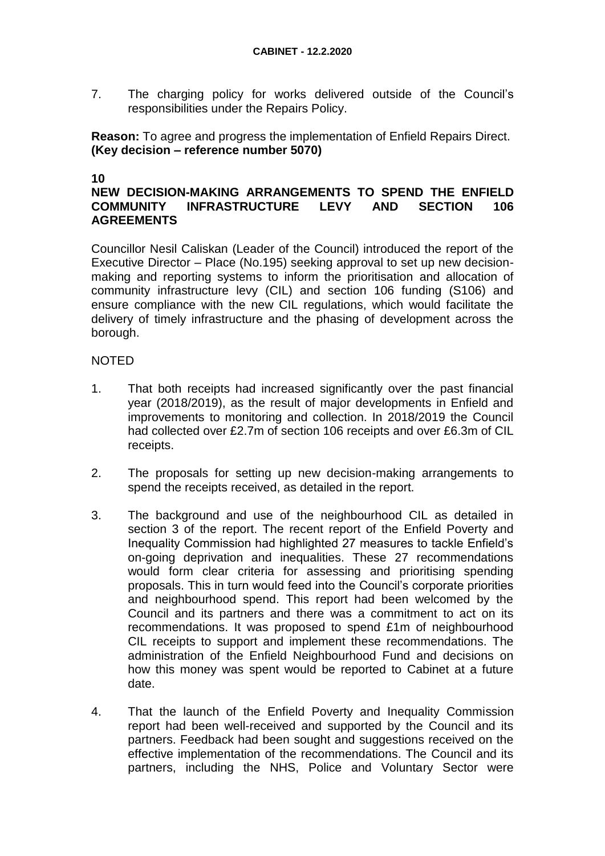7. The charging policy for works delivered outside of the Council's responsibilities under the Repairs Policy.

**Reason:** To agree and progress the implementation of Enfield Repairs Direct. **(Key decision – reference number 5070)**

#### **10**

### **NEW DECISION-MAKING ARRANGEMENTS TO SPEND THE ENFIELD COMMUNITY INFRASTRUCTURE LEVY AND SECTION 106 AGREEMENTS**

Councillor Nesil Caliskan (Leader of the Council) introduced the report of the Executive Director – Place (No.195) seeking approval to set up new decisionmaking and reporting systems to inform the prioritisation and allocation of community infrastructure levy (CIL) and section 106 funding (S106) and ensure compliance with the new CIL regulations, which would facilitate the delivery of timely infrastructure and the phasing of development across the borough.

- 1. That both receipts had increased significantly over the past financial year (2018/2019), as the result of major developments in Enfield and improvements to monitoring and collection. In 2018/2019 the Council had collected over £2.7m of section 106 receipts and over £6.3m of CIL receipts.
- 2. The proposals for setting up new decision-making arrangements to spend the receipts received, as detailed in the report.
- 3. The background and use of the neighbourhood CIL as detailed in section 3 of the report. The recent report of the Enfield Poverty and Inequality Commission had highlighted 27 measures to tackle Enfield's on-going deprivation and inequalities. These 27 recommendations would form clear criteria for assessing and prioritising spending proposals. This in turn would feed into the Council's corporate priorities and neighbourhood spend. This report had been welcomed by the Council and its partners and there was a commitment to act on its recommendations. It was proposed to spend £1m of neighbourhood CIL receipts to support and implement these recommendations. The administration of the Enfield Neighbourhood Fund and decisions on how this money was spent would be reported to Cabinet at a future date.
- 4. That the launch of the Enfield Poverty and Inequality Commission report had been well-received and supported by the Council and its partners. Feedback had been sought and suggestions received on the effective implementation of the recommendations. The Council and its partners, including the NHS, Police and Voluntary Sector were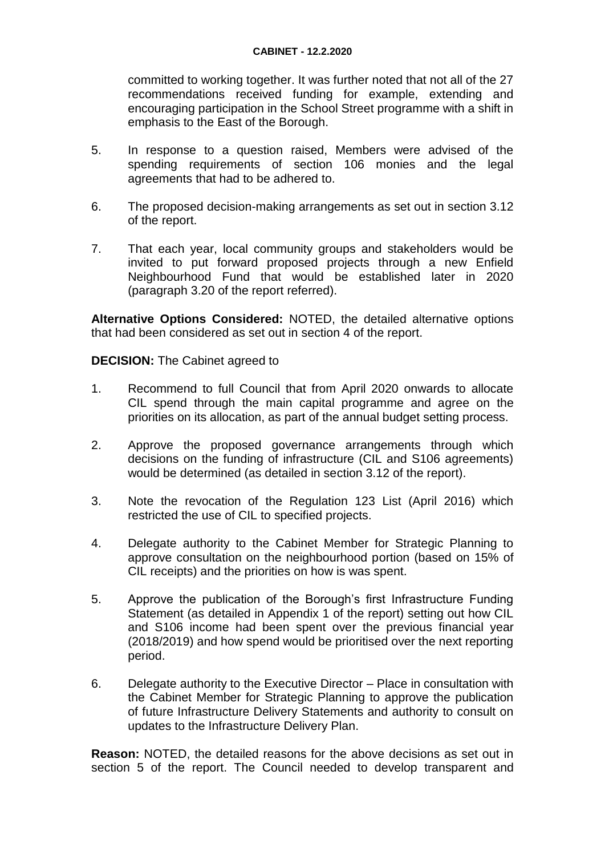committed to working together. It was further noted that not all of the 27 recommendations received funding for example, extending and encouraging participation in the School Street programme with a shift in emphasis to the East of the Borough.

- 5. In response to a question raised, Members were advised of the spending requirements of section 106 monies and the legal agreements that had to be adhered to.
- 6. The proposed decision-making arrangements as set out in section 3.12 of the report.
- 7. That each year, local community groups and stakeholders would be invited to put forward proposed projects through a new Enfield Neighbourhood Fund that would be established later in 2020 (paragraph 3.20 of the report referred).

**Alternative Options Considered:** NOTED, the detailed alternative options that had been considered as set out in section 4 of the report.

**DECISION:** The Cabinet agreed to

- 1. Recommend to full Council that from April 2020 onwards to allocate CIL spend through the main capital programme and agree on the priorities on its allocation, as part of the annual budget setting process.
- 2. Approve the proposed governance arrangements through which decisions on the funding of infrastructure (CIL and S106 agreements) would be determined (as detailed in section 3.12 of the report).
- 3. Note the revocation of the Regulation 123 List (April 2016) which restricted the use of CIL to specified projects.
- 4. Delegate authority to the Cabinet Member for Strategic Planning to approve consultation on the neighbourhood portion (based on 15% of CIL receipts) and the priorities on how is was spent.
- 5. Approve the publication of the Borough's first Infrastructure Funding Statement (as detailed in Appendix 1 of the report) setting out how CIL and S106 income had been spent over the previous financial year (2018/2019) and how spend would be prioritised over the next reporting period.
- 6. Delegate authority to the Executive Director Place in consultation with the Cabinet Member for Strategic Planning to approve the publication of future Infrastructure Delivery Statements and authority to consult on updates to the Infrastructure Delivery Plan.

**Reason:** NOTED, the detailed reasons for the above decisions as set out in section 5 of the report. The Council needed to develop transparent and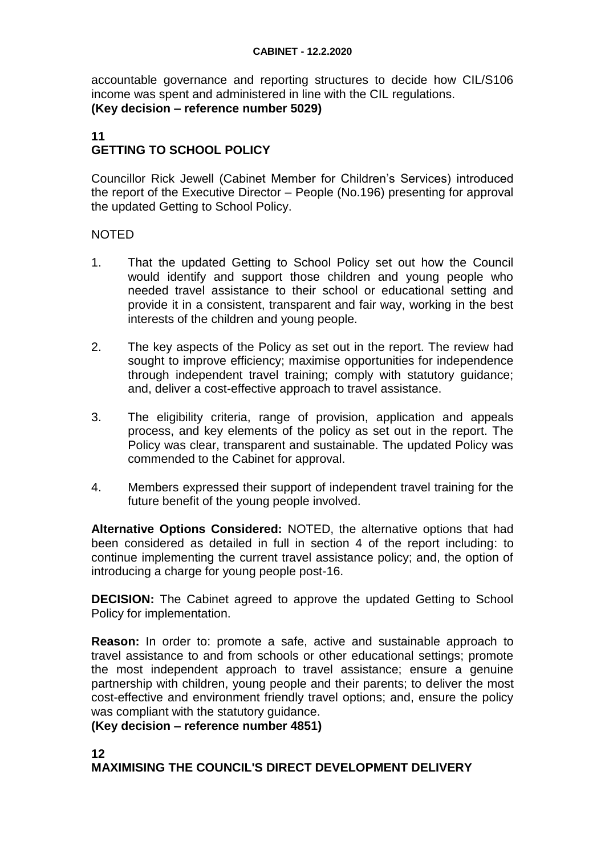accountable governance and reporting structures to decide how CIL/S106 income was spent and administered in line with the CIL regulations. **(Key decision – reference number 5029)**

# **11 GETTING TO SCHOOL POLICY**

Councillor Rick Jewell (Cabinet Member for Children's Services) introduced the report of the Executive Director – People (No.196) presenting for approval the updated Getting to School Policy.

### NOTED

- 1. That the updated Getting to School Policy set out how the Council would identify and support those children and young people who needed travel assistance to their school or educational setting and provide it in a consistent, transparent and fair way, working in the best interests of the children and young people.
- 2. The key aspects of the Policy as set out in the report. The review had sought to improve efficiency; maximise opportunities for independence through independent travel training; comply with statutory guidance; and, deliver a cost-effective approach to travel assistance.
- 3. The eligibility criteria, range of provision, application and appeals process, and key elements of the policy as set out in the report. The Policy was clear, transparent and sustainable. The updated Policy was commended to the Cabinet for approval.
- 4. Members expressed their support of independent travel training for the future benefit of the young people involved.

**Alternative Options Considered:** NOTED, the alternative options that had been considered as detailed in full in section 4 of the report including: to continue implementing the current travel assistance policy; and, the option of introducing a charge for young people post-16.

**DECISION:** The Cabinet agreed to approve the updated Getting to School Policy for implementation.

**Reason:** In order to: promote a safe, active and sustainable approach to travel assistance to and from schools or other educational settings; promote the most independent approach to travel assistance; ensure a genuine partnership with children, young people and their parents; to deliver the most cost-effective and environment friendly travel options; and, ensure the policy was compliant with the statutory guidance.

**(Key decision – reference number 4851)**

### **12 MAXIMISING THE COUNCIL'S DIRECT DEVELOPMENT DELIVERY**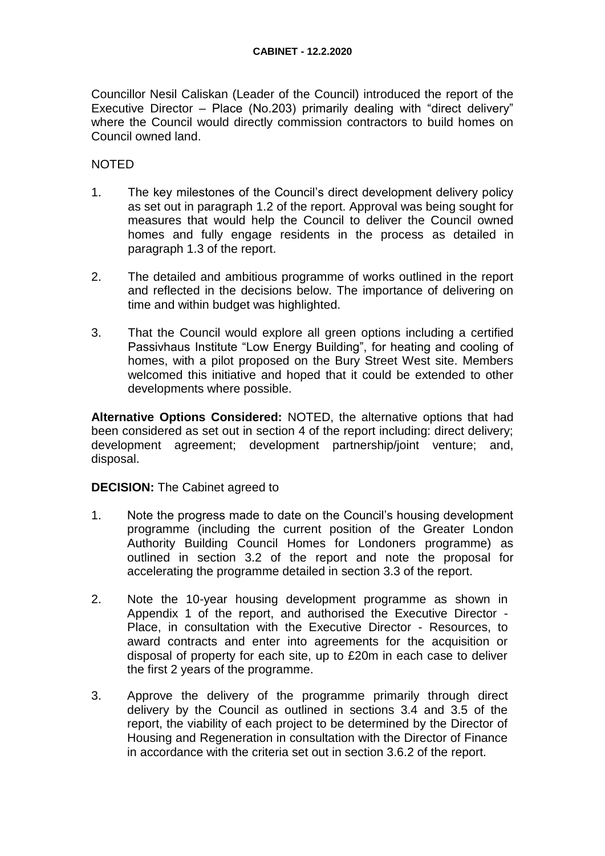Councillor Nesil Caliskan (Leader of the Council) introduced the report of the Executive Director – Place (No.203) primarily dealing with "direct delivery" where the Council would directly commission contractors to build homes on Council owned land.

### NOTED

- 1. The key milestones of the Council's direct development delivery policy as set out in paragraph 1.2 of the report. Approval was being sought for measures that would help the Council to deliver the Council owned homes and fully engage residents in the process as detailed in paragraph 1.3 of the report.
- 2. The detailed and ambitious programme of works outlined in the report and reflected in the decisions below. The importance of delivering on time and within budget was highlighted.
- 3. That the Council would explore all green options including a certified Passivhaus Institute "Low Energy Building", for heating and cooling of homes, with a pilot proposed on the Bury Street West site. Members welcomed this initiative and hoped that it could be extended to other developments where possible.

**Alternative Options Considered:** NOTED, the alternative options that had been considered as set out in section 4 of the report including: direct delivery; development agreement; development partnership/joint venture; and, disposal.

### **DECISION:** The Cabinet agreed to

- 1. Note the progress made to date on the Council's housing development programme (including the current position of the Greater London Authority Building Council Homes for Londoners programme) as outlined in section 3.2 of the report and note the proposal for accelerating the programme detailed in section 3.3 of the report.
- 2. Note the 10-year housing development programme as shown in Appendix 1 of the report, and authorised the Executive Director - Place, in consultation with the Executive Director - Resources, to award contracts and enter into agreements for the acquisition or disposal of property for each site, up to £20m in each case to deliver the first 2 years of the programme.
- 3. Approve the delivery of the programme primarily through direct delivery by the Council as outlined in sections 3.4 and 3.5 of the report, the viability of each project to be determined by the Director of Housing and Regeneration in consultation with the Director of Finance in accordance with the criteria set out in section 3.6.2 of the report.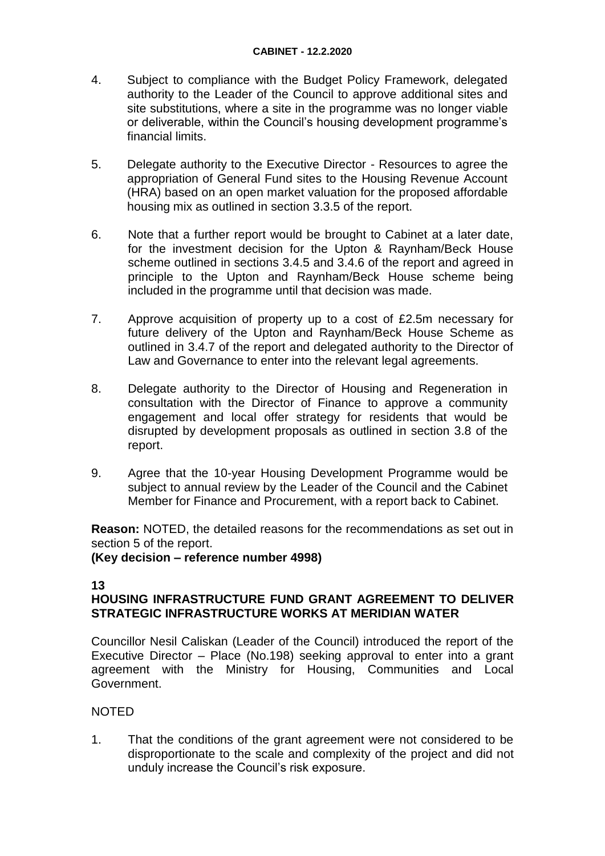- 4. Subject to compliance with the Budget Policy Framework, delegated authority to the Leader of the Council to approve additional sites and site substitutions, where a site in the programme was no longer viable or deliverable, within the Council's housing development programme's financial limits.
- 5. Delegate authority to the Executive Director Resources to agree the appropriation of General Fund sites to the Housing Revenue Account (HRA) based on an open market valuation for the proposed affordable housing mix as outlined in section 3.3.5 of the report.
- 6. Note that a further report would be brought to Cabinet at a later date, for the investment decision for the Upton & Raynham/Beck House scheme outlined in sections 3.4.5 and 3.4.6 of the report and agreed in principle to the Upton and Raynham/Beck House scheme being included in the programme until that decision was made.
- 7. Approve acquisition of property up to a cost of £2.5m necessary for future delivery of the Upton and Raynham/Beck House Scheme as outlined in 3.4.7 of the report and delegated authority to the Director of Law and Governance to enter into the relevant legal agreements.
- 8. Delegate authority to the Director of Housing and Regeneration in consultation with the Director of Finance to approve a community engagement and local offer strategy for residents that would be disrupted by development proposals as outlined in section 3.8 of the report.
- 9. Agree that the 10-year Housing Development Programme would be subject to annual review by the Leader of the Council and the Cabinet Member for Finance and Procurement, with a report back to Cabinet.

**Reason:** NOTED, the detailed reasons for the recommendations as set out in section 5 of the report.

**(Key decision – reference number 4998)**

#### **13**

### **HOUSING INFRASTRUCTURE FUND GRANT AGREEMENT TO DELIVER STRATEGIC INFRASTRUCTURE WORKS AT MERIDIAN WATER**

Councillor Nesil Caliskan (Leader of the Council) introduced the report of the Executive Director – Place (No.198) seeking approval to enter into a grant agreement with the Ministry for Housing, Communities and Local Government.

### NOTED

1. That the conditions of the grant agreement were not considered to be disproportionate to the scale and complexity of the project and did not unduly increase the Council's risk exposure.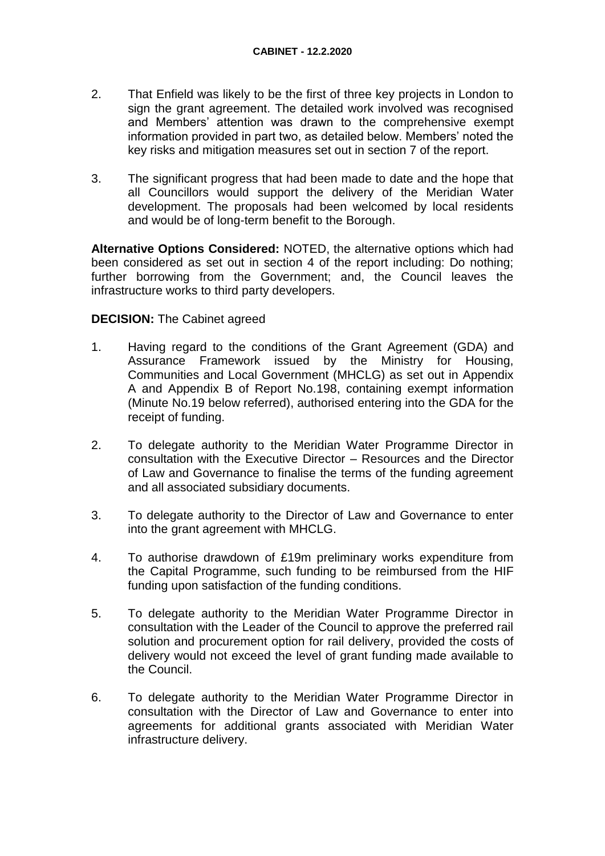- 2. That Enfield was likely to be the first of three key projects in London to sign the grant agreement. The detailed work involved was recognised and Members' attention was drawn to the comprehensive exempt information provided in part two, as detailed below. Members' noted the key risks and mitigation measures set out in section 7 of the report.
- 3. The significant progress that had been made to date and the hope that all Councillors would support the delivery of the Meridian Water development. The proposals had been welcomed by local residents and would be of long-term benefit to the Borough.

**Alternative Options Considered:** NOTED, the alternative options which had been considered as set out in section 4 of the report including: Do nothing; further borrowing from the Government; and, the Council leaves the infrastructure works to third party developers.

### **DECISION:** The Cabinet agreed

- 1. Having regard to the conditions of the Grant Agreement (GDA) and Assurance Framework issued by the Ministry for Housing, Communities and Local Government (MHCLG) as set out in Appendix A and Appendix B of Report No.198, containing exempt information (Minute No.19 below referred), authorised entering into the GDA for the receipt of funding.
- 2. To delegate authority to the Meridian Water Programme Director in consultation with the Executive Director – Resources and the Director of Law and Governance to finalise the terms of the funding agreement and all associated subsidiary documents.
- 3. To delegate authority to the Director of Law and Governance to enter into the grant agreement with MHCLG.
- 4. To authorise drawdown of £19m preliminary works expenditure from the Capital Programme, such funding to be reimbursed from the HIF funding upon satisfaction of the funding conditions.
- 5. To delegate authority to the Meridian Water Programme Director in consultation with the Leader of the Council to approve the preferred rail solution and procurement option for rail delivery, provided the costs of delivery would not exceed the level of grant funding made available to the Council.
- 6. To delegate authority to the Meridian Water Programme Director in consultation with the Director of Law and Governance to enter into agreements for additional grants associated with Meridian Water infrastructure delivery.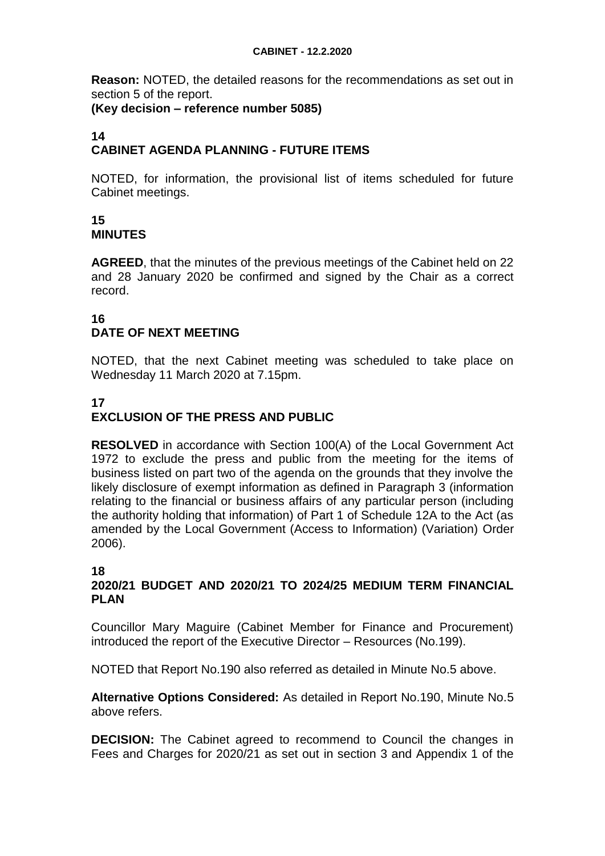**Reason:** NOTED, the detailed reasons for the recommendations as set out in section 5 of the report.

### **(Key decision – reference number 5085)**

#### **14 CABINET AGENDA PLANNING - FUTURE ITEMS**

NOTED, for information, the provisional list of items scheduled for future Cabinet meetings.

### **15 MINUTES**

**AGREED**, that the minutes of the previous meetings of the Cabinet held on 22 and 28 January 2020 be confirmed and signed by the Chair as a correct record.

# **16 DATE OF NEXT MEETING**

NOTED, that the next Cabinet meeting was scheduled to take place on Wednesday 11 March 2020 at 7.15pm.

# **17**

# **EXCLUSION OF THE PRESS AND PUBLIC**

**RESOLVED** in accordance with Section 100(A) of the Local Government Act 1972 to exclude the press and public from the meeting for the items of business listed on part two of the agenda on the grounds that they involve the likely disclosure of exempt information as defined in Paragraph 3 (information relating to the financial or business affairs of any particular person (including the authority holding that information) of Part 1 of Schedule 12A to the Act (as amended by the Local Government (Access to Information) (Variation) Order 2006).

# **18**

### **2020/21 BUDGET AND 2020/21 TO 2024/25 MEDIUM TERM FINANCIAL PLAN**

Councillor Mary Maguire (Cabinet Member for Finance and Procurement) introduced the report of the Executive Director – Resources (No.199).

NOTED that Report No.190 also referred as detailed in Minute No.5 above.

**Alternative Options Considered:** As detailed in Report No.190, Minute No.5 above refers.

**DECISION:** The Cabinet agreed to recommend to Council the changes in Fees and Charges for 2020/21 as set out in section 3 and Appendix 1 of the